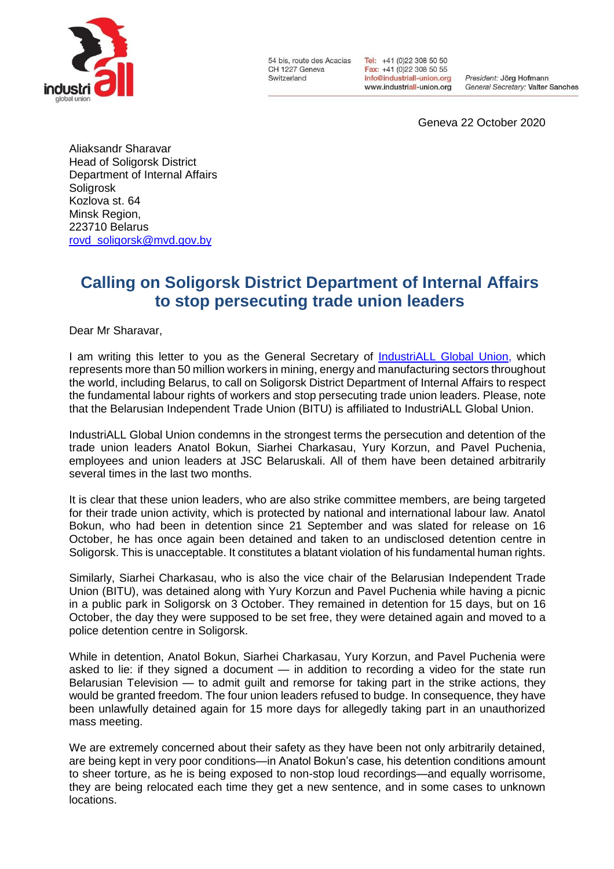

54 bis, route des Acacias CH 1227 Geneva Switzerland

Tel: +41 (0)22 308 50 50 Fax: +41 (0)22 308 50 55 info@industriall-union.org www.industriall-union.org

President: Jörg Hofmann General Secretary: Valter Sanches

Geneva 22 October 2020

Aliaksandr Sharavar Head of Soligorsk District Department of Internal Affairs **Soligrosk** Kozlova st. 64 Minsk Region, 223710 Belarus [rovd\\_soligorsk@mvd.gov.by](mailto:rovd_soligorsk@mvd.gov.by)

## **Calling on Soligorsk District Department of Internal Affairs to stop persecuting trade union leaders**

Dear Mr Sharavar,

I am writing this letter to you as the General Secretary of [IndustriALL Global Union,](http://www.industriall-union.org/) which represents more than 50 million workers in mining, energy and manufacturing sectors throughout the world, including Belarus, to call on Soligorsk District Department of Internal Affairs to respect the fundamental labour rights of workers and stop persecuting trade union leaders. Please, note that the Belarusian Independent Trade Union (BITU) is affiliated to [IndustriALL Global Union.](http://www.industriall-union.org/)

[IndustriALL Global Union](http://www.industriall-union.org/) condemns in the strongest terms the persecution and detention of the trade union leaders Anatol Bokun, Siarhei Charkasau, Yury Korzun, and Pavel Puchenia, employees and union leaders at JSC Belaruskali. All of them have been detained arbitrarily several times in the last two months.

It is clear that these union leaders, who are also strike committee members, are being targeted for their trade union activity, which is protected by national and international labour law. Anatol Bokun, who had been in detention since 21 September and was slated for release on 16 October, he has once again been detained and taken to an undisclosed detention centre in Soligorsk. This is unacceptable. It constitutes a blatant violation of his fundamental human rights.

Similarly, Siarhei Charkasau, who is also the vice chair of the Belarusian Independent Trade Union (BITU), was detained along with Yury Korzun and Pavel Puchenia while having a picnic in a public park in Soligorsk on 3 October. They remained in detention for 15 days, but on 16 October, the day they were supposed to be set free, they were detained again and moved to a police detention centre in Soligorsk.

While in detention, Anatol Bokun, Siarhei Charkasau, Yury Korzun, and Pavel Puchenia were asked to lie: if they signed a document — in addition to recording a video for the state run Belarusian Television — to admit guilt and remorse for taking part in the strike actions, they would be granted freedom. The four union leaders refused to budge. In consequence, they have been unlawfully detained again for 15 more days for allegedly taking part in an unauthorized mass meeting.

We are extremely concerned about their safety as they have been not only arbitrarily detained, are being kept in very poor conditions—in Anatol Bokun's case, his detention conditions amount to sheer torture, as he is being exposed to non-stop loud recordings—and equally worrisome, they are being relocated each time they get a new sentence, and in some cases to unknown locations.